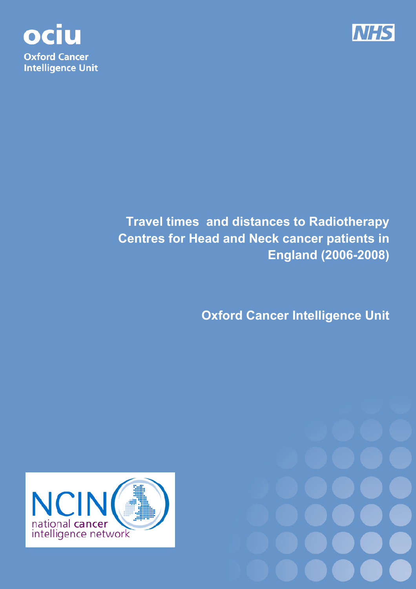



# **Travel times and distances to Radiotherapy Centres for Head and Neck cancer patients in England (2006-2008)**

**Oxford Cancer Intelligence Unit**



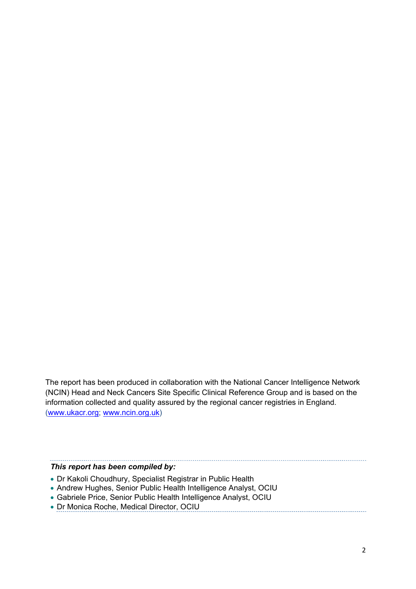The report has been produced in collaboration with the National Cancer Intelligence Network (NCIN) Head and Neck Cancers Site Specific Clinical Reference Group and is based on the information collected and quality assured by the regional cancer registries in England. (www.ukacr.org; www.ncin.org.uk)

#### *This report has been compiled by:*

- Dr Kakoli Choudhury, Specialist Registrar in Public Health
- Andrew Hughes, Senior Public Health Intelligence Analyst, OCIU
- Gabriele Price, Senior Public Health Intelligence Analyst, OCIU
- Dr Monica Roche, Medical Director, OCIU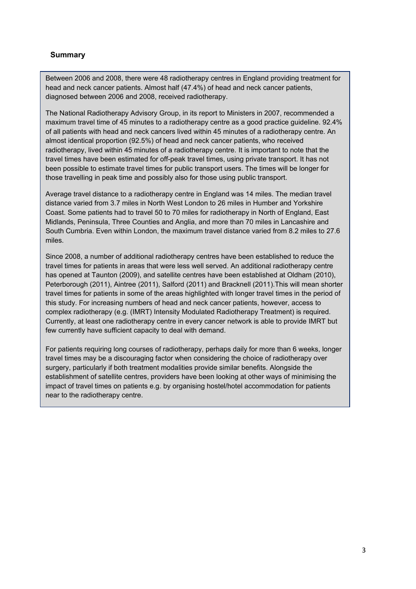#### **Summary**

Between 2006 and 2008, there were 48 radiotherapy centres in England providing treatment for head and neck cancer patients. Almost half (47.4%) of head and neck cancer patients, diagnosed between 2006 and 2008, received radiotherapy.

The National Radiotherapy Advisory Group, in its report to Ministers in 2007, recommended a maximum travel time of 45 minutes to a radiotherapy centre as a good practice guideline. 92.4% of all patients with head and neck cancers lived within 45 minutes of a radiotherapy centre. An almost identical proportion (92.5%) of head and neck cancer patients, who received radiotherapy, lived within 45 minutes of a radiotherapy centre. It is important to note that the travel times have been estimated for off-peak travel times, using private transport. It has not been possible to estimate travel times for public transport users. The times will be longer for those travelling in peak time and possibly also for those using public transport.

Average travel distance to a radiotherapy centre in England was 14 miles. The median travel distance varied from 3.7 miles in North West London to 26 miles in Humber and Yorkshire Coast. Some patients had to travel 50 to 70 miles for radiotherapy in North of England, East Midlands, Peninsula, Three Counties and Anglia, and more than 70 miles in Lancashire and South Cumbria. Even within London, the maximum travel distance varied from 8.2 miles to 27.6 miles.

Since 2008, a number of additional radiotherapy centres have been established to reduce the travel times for patients in areas that were less well served. An additional radiotherapy centre has opened at Taunton (2009), and satellite centres have been established at Oldham (2010), Peterborough (2011), Aintree (2011), Salford (2011) and Bracknell (2011).This will mean shorter travel times for patients in some of the areas highlighted with longer travel times in the period of this study. For increasing numbers of head and neck cancer patients, however, access to complex radiotherapy (e.g. (IMRT) Intensity Modulated Radiotherapy Treatment) is required. Currently, at least one radiotherapy centre in every cancer network is able to provide IMRT but few currently have sufficient capacity to deal with demand.

For patients requiring long courses of radiotherapy, perhaps daily for more than 6 weeks, longer travel times may be a discouraging factor when considering the choice of radiotherapy over surgery, particularly if both treatment modalities provide similar benefits. Alongside the establishment of satellite centres, providers have been looking at other ways of minimising the impact of travel times on patients e.g. by organising hostel/hotel accommodation for patients near to the radiotherapy centre.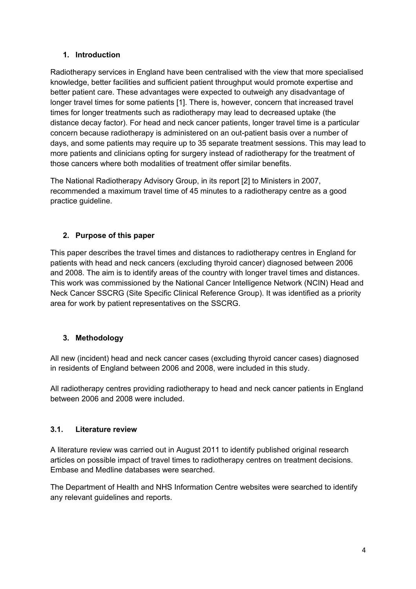# **1. Introduction**

Radiotherapy services in England have been centralised with the view that more specialised knowledge, better facilities and sufficient patient throughput would promote expertise and better patient care. These advantages were expected to outweigh any disadvantage of longer travel times for some patients [1]. There is, however, concern that increased travel times for longer treatments such as radiotherapy may lead to decreased uptake (the distance decay factor). For head and neck cancer patients, longer travel time is a particular concern because radiotherapy is administered on an out-patient basis over a number of days, and some patients may require up to 35 separate treatment sessions. This may lead to more patients and clinicians opting for surgery instead of radiotherapy for the treatment of those cancers where both modalities of treatment offer similar benefits.

The National Radiotherapy Advisory Group, in its report [2] to Ministers in 2007, recommended a maximum travel time of 45 minutes to a radiotherapy centre as a good practice guideline.

# **2. Purpose of this paper**

This paper describes the travel times and distances to radiotherapy centres in England for patients with head and neck cancers (excluding thyroid cancer) diagnosed between 2006 and 2008. The aim is to identify areas of the country with longer travel times and distances. This work was commissioned by the National Cancer Intelligence Network (NCIN) Head and Neck Cancer SSCRG (Site Specific Clinical Reference Group). It was identified as a priority area for work by patient representatives on the SSCRG.

# **3. Methodology**

All new (incident) head and neck cancer cases (excluding thyroid cancer cases) diagnosed in residents of England between 2006 and 2008, were included in this study.

All radiotherapy centres providing radiotherapy to head and neck cancer patients in England between 2006 and 2008 were included.

# **3.1. Literature review**

A literature review was carried out in August 2011 to identify published original research articles on possible impact of travel times to radiotherapy centres on treatment decisions. Embase and Medline databases were searched.

The Department of Health and NHS Information Centre websites were searched to identify any relevant guidelines and reports.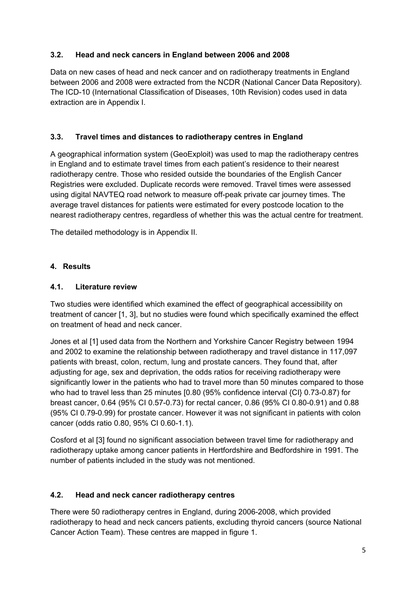### **3.2. Head and neck cancers in England between 2006 and 2008**

Data on new cases of head and neck cancer and on radiotherapy treatments in England between 2006 and 2008 were extracted from the NCDR (National Cancer Data Repository). The ICD-10 (International Classification of Diseases, 10th Revision) codes used in data extraction are in Appendix I.

# **3.3. Travel times and distances to radiotherapy centres in England**

A geographical information system (GeoExploit) was used to map the radiotherapy centres in England and to estimate travel times from each patient's residence to their nearest radiotherapy centre. Those who resided outside the boundaries of the English Cancer Registries were excluded. Duplicate records were removed. Travel times were assessed using digital NAVTEQ road network to measure off-peak private car journey times. The average travel distances for patients were estimated for every postcode location to the nearest radiotherapy centres, regardless of whether this was the actual centre for treatment.

The detailed methodology is in Appendix II.

# **4. Results**

### **4.1. Literature review**

Two studies were identified which examined the effect of geographical accessibility on treatment of cancer [1, 3], but no studies were found which specifically examined the effect on treatment of head and neck cancer.

Jones et al [1] used data from the Northern and Yorkshire Cancer Registry between 1994 and 2002 to examine the relationship between radiotherapy and travel distance in 117,097 patients with breast, colon, rectum, lung and prostate cancers. They found that, after adjusting for age, sex and deprivation, the odds ratios for receiving radiotherapy were significantly lower in the patients who had to travel more than 50 minutes compared to those who had to travel less than 25 minutes [0.80 (95% confidence interval {CI} 0.73-0.87) for breast cancer, 0.64 (95% CI 0.57-0.73) for rectal cancer, 0.86 (95% CI 0.80-0.91) and 0.88 (95% CI 0.79-0.99) for prostate cancer. However it was not significant in patients with colon cancer (odds ratio 0.80, 95% CI 0.60-1.1).

Cosford et al [3] found no significant association between travel time for radiotherapy and radiotherapy uptake among cancer patients in Hertfordshire and Bedfordshire in 1991. The number of patients included in the study was not mentioned.

### **4.2. Head and neck cancer radiotherapy centres**

There were 50 radiotherapy centres in England, during 2006-2008, which provided radiotherapy to head and neck cancers patients, excluding thyroid cancers (source National Cancer Action Team). These centres are mapped in figure 1.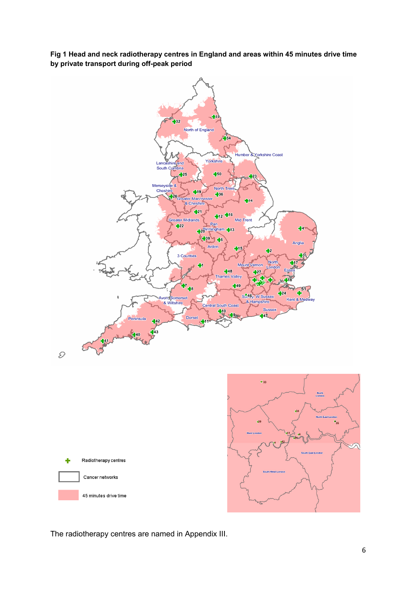**Fig 1 Head and neck radiotherapy centres in England and areas within 45 minutes drive time by private transport during off-peak period** 



The radiotherapy centres are named in Appendix III.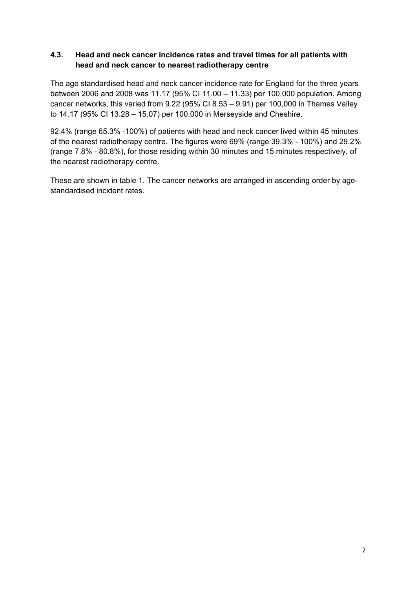#### **4.3. Head and neck cancer incidence rates and travel times for all patients with head and neck cancer to nearest radiotherapy centre**

The age standardised head and neck cancer incidence rate for England for the three years between 2006 and 2008 was 11.17 (95% CI 11.00 – 11.33) per 100,000 population. Among cancer networks, this varied from 9.22 (95% CI 8.53 – 9.91) per 100,000 in Thames Valley to 14.17 (95% CI 13.28 – 15.07) per 100,000 in Merseyside and Cheshire.

92.4% (range 65.3% -100%) of patients with head and neck cancer lived within 45 minutes of the nearest radiotherapy centre. The figures were 69% (range 39.3% - 100%) and 29.2% (range 7.8% - 80.8%), for those residing within 30 minutes and 15 minutes respectively, of the nearest radiotherapy centre.

These are shown in table 1. The cancer networks are arranged in ascending order by agestandardised incident rates.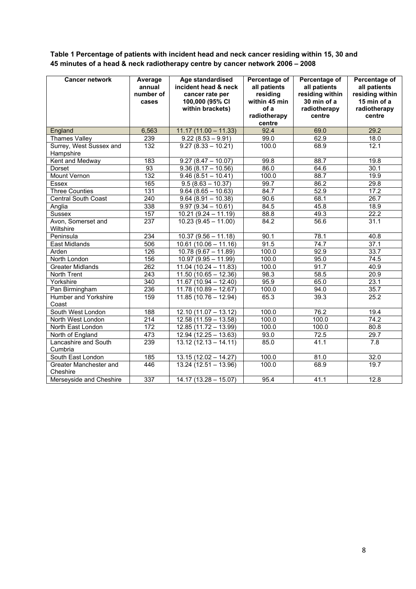**Table 1 Percentage of patients with incident head and neck cancer residing within 15, 30 and 45 minutes of a head & neck radiotherapy centre by cancer network 2006 – 2008** 

| <b>Cancer network</b>                | Average<br>annual<br>number of<br>cases | <b>Age standardised</b><br>incident head & neck<br>cancer rate per<br>100,000 (95% CI<br>within brackets) | Percentage of<br>all patients<br>residing<br>within 45 min<br>of a<br>radiotherapy<br>centre | Percentage of<br>all patients<br>residing within<br>30 min of a<br>radiotherapy<br>centre | Percentage of<br>all patients<br>residing within<br>15 min of a<br>radiotherapy<br>centre |
|--------------------------------------|-----------------------------------------|-----------------------------------------------------------------------------------------------------------|----------------------------------------------------------------------------------------------|-------------------------------------------------------------------------------------------|-------------------------------------------------------------------------------------------|
| England                              | 6,563                                   | $11.17(11.00 - 11.33)$                                                                                    | 92.4                                                                                         | 69.0                                                                                      | 29.2                                                                                      |
| <b>Thames Valley</b>                 | 239                                     | $9.22(8.53 - 9.91)$                                                                                       | 99.0                                                                                         | 62.9                                                                                      | 18.0                                                                                      |
| Surrey, West Sussex and<br>Hampshire | 132                                     | $9.27(8.33 - 10.21)$                                                                                      | 100.0                                                                                        | 68.9                                                                                      | 12.1                                                                                      |
| Kent and Medway                      | 183                                     | $9.27(8.47 - 10.07)$                                                                                      | 99.8                                                                                         | 88.7                                                                                      | 19.8                                                                                      |
| Dorset                               | 93                                      | $9.36(8.17 - 10.56)$                                                                                      | 86.0                                                                                         | 64.6                                                                                      | 30.1                                                                                      |
| Mount Vernon                         | 132                                     | $9.46(8.51 - 10.41)$                                                                                      | 100.0                                                                                        | 88.7                                                                                      | 19.9                                                                                      |
| Essex                                | 165                                     | $\overline{9.5(8.63 - 10.37)}$                                                                            | 99.7                                                                                         | 86.2                                                                                      | 29.8                                                                                      |
| <b>Three Counties</b>                | $\overline{131}$                        | $9.64(8.65 - 10.63)$                                                                                      | 84.7                                                                                         | 52.9                                                                                      | 17.2                                                                                      |
| <b>Central South Coast</b>           | 240                                     | $9.64(8.91 - 10.38)$                                                                                      | 90.6                                                                                         | 68.1                                                                                      | 26.7                                                                                      |
| Anglia                               | 338                                     | $9.97(9.34 - 10.61)$                                                                                      | 84.5                                                                                         | 45.8                                                                                      | 18.9                                                                                      |
| <b>Sussex</b>                        | 157                                     | $10.21(9.24 - 11.19)$                                                                                     | 88.8                                                                                         | 49.3                                                                                      | $\overline{22.2}$                                                                         |
| Avon, Somerset and<br>Wiltshire      | 237                                     | $10.23(9.45 - 11.00)$                                                                                     | 84.2                                                                                         | 56.6                                                                                      | 31.1                                                                                      |
| Peninsula                            | 234                                     | $10.37(9.56 - 11.18)$                                                                                     | 90.1                                                                                         | 78.1                                                                                      | 40.8                                                                                      |
| East Midlands                        | 506                                     | $10.61(10.06 - 11.16)$                                                                                    | 91.5                                                                                         | 74.7                                                                                      | 37.1                                                                                      |
| Arden                                | 126                                     | $10.78(9.67 - 11.89)$                                                                                     | 100.0                                                                                        | 92.9                                                                                      | 33.7                                                                                      |
| North London                         | 156                                     | $10.97(9.95 - 11.99)$                                                                                     | 100.0                                                                                        | 95.0                                                                                      | 74.5                                                                                      |
| <b>Greater Midlands</b>              | 262                                     | $\overline{11.04}$ (10.24 - 11.83)                                                                        | 100.0                                                                                        | 91.7                                                                                      | 40.9                                                                                      |
| North Trent                          | $\overline{243}$                        | $11.50(10.65 - 12.36)$                                                                                    | 98.3                                                                                         | 58.5                                                                                      | 20.9                                                                                      |
| Yorkshire                            | 340                                     | $11.67(10.94 - 12.40)$                                                                                    | 95.9                                                                                         | 65.0                                                                                      | 23.1                                                                                      |
| Pan Birmingham                       | 236                                     | $11.78(10.89 - 12.67)$                                                                                    | 100.0                                                                                        | 94.0                                                                                      | 35.7                                                                                      |
| Humber and Yorkshire<br>Coast        | 159                                     | $11.85(10.76 - 12.94)$                                                                                    | 65.3                                                                                         | 39.3                                                                                      | 25.2                                                                                      |
| South West London                    | 188                                     | $12.10(11.07 - 13.12)$                                                                                    | 100.0                                                                                        | 76.2                                                                                      | 19.4                                                                                      |
| North West London                    | $\overline{214}$                        | $12.58(11.59 - 13.58)$                                                                                    | 100.0                                                                                        | 100.0                                                                                     | 74.2                                                                                      |
| North East London                    | 172                                     | $12.85(11.72 - 13.99)$                                                                                    | 100.0                                                                                        | 100.0                                                                                     | 80.8                                                                                      |
| North of England                     | 473                                     | $12.94(12.25 - 13.63)$                                                                                    | 93.0                                                                                         | $\overline{72.5}$                                                                         | 29.7                                                                                      |
| Lancashire and South<br>Cumbria      | 239                                     | $13.12(12.13 - 14.11)$                                                                                    | 85.0                                                                                         | 41.1                                                                                      | 7.8                                                                                       |
| South East London                    | 185                                     | $13.15(12.02 - 14.27)$                                                                                    | 100.0                                                                                        | 81.0                                                                                      | 32.0                                                                                      |
| Greater Manchester and<br>Cheshire   | 446                                     | $13.24(12.51 - 13.96)$                                                                                    | 100.0                                                                                        | 68.9                                                                                      | 19.7                                                                                      |
| Merseyside and Cheshire              | 337                                     | $14.17(13.28 - 15.07)$                                                                                    | 95.4                                                                                         | 41.1                                                                                      | 12.8                                                                                      |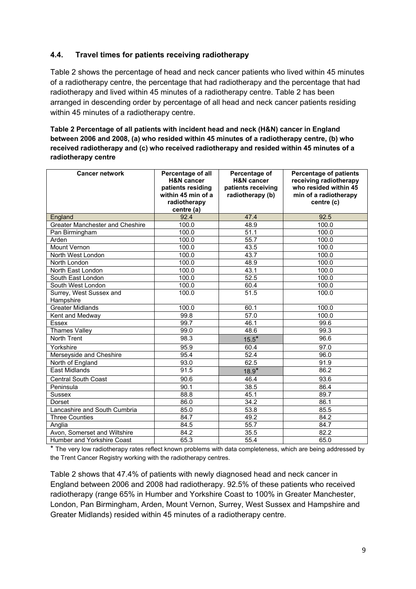#### **4.4. Travel times for patients receiving radiotherapy**

Table 2 shows the percentage of head and neck cancer patients who lived within 45 minutes of a radiotherapy centre, the percentage that had radiotherapy and the percentage that had radiotherapy and lived within 45 minutes of a radiotherapy centre. Table 2 has been arranged in descending order by percentage of all head and neck cancer patients residing within 45 minutes of a radiotherapy centre.

**Table 2 Percentage of all patients with incident head and neck (H&N) cancer in England between 2006 and 2008, (a) who resided within 45 minutes of a radiotherapy centre, (b) who received radiotherapy and (c) who received radiotherapy and resided within 45 minutes of a radiotherapy centre** 

| <b>Cancer network</b>           | Percentage of all     | Percentage of         | <b>Percentage of patients</b> |
|---------------------------------|-----------------------|-----------------------|-------------------------------|
|                                 | <b>H&amp;N</b> cancer | <b>H&amp;N</b> cancer | receiving radiotherapy        |
|                                 | patients residing     | patients receiving    | who resided within 45         |
|                                 | within 45 min of a    | radiotherapy (b)      | min of a radiotherapy         |
|                                 | radiotherapy          |                       | centre (c)                    |
|                                 | centre (a)            |                       |                               |
| England                         | 92.4                  | 47.4                  | 92.5                          |
| Greater Manchester and Cheshire | 100.0                 | 48.9                  | 100.0                         |
| Pan Birmingham                  | 100.0                 | 51.1                  | 100.0                         |
| Arden                           | 100.0                 | 55.7                  | 100.0                         |
| <b>Mount Vernon</b>             | 100.0                 | 43.5                  | 100.0                         |
| North West London               | 100.0                 | 43.7                  | 100.0                         |
| North London                    | 100.0                 | 48.9                  | 100.0                         |
| North East London               | 100.0                 | 43.1                  | 100.0                         |
| South East London               | 100.0                 | 52.5                  | 100.0                         |
| South West London               | 100.0                 | 60.4                  | 100.0                         |
| Surrey, West Sussex and         | 100.0                 | $\overline{51.5}$     | 100.0                         |
| Hampshire                       |                       |                       |                               |
| <b>Greater Midlands</b>         | 100.0                 | 60.1                  | 100.0                         |
| Kent and Medway                 | 99.8                  | 57.0                  | 100.0                         |
| Essex                           | 99.7                  | 46.1                  | 99.6                          |
| Thames Valley                   | 99.0                  | 48.6                  | 99.3                          |
| North Trent                     | 98.3                  | $15.5*$               | 96.6                          |
| Yorkshire                       | 95.9                  | 60.4                  | 97.0                          |
| Merseyside and Cheshire         | 95.4                  | 52.4                  | 96.0                          |
| North of England                | 93.0                  | 62.5                  | 91.9                          |
| <b>East Midlands</b>            | 91.5                  | $18.9*$               | 86.2                          |
| <b>Central South Coast</b>      | 90.6                  | 46.4                  | 93.6                          |
| Peninsula                       | 90.1                  | 38.5                  | 86.4                          |
| <b>Sussex</b>                   | 88.8                  | 45.1                  | 89.7                          |
| Dorset                          | 86.0                  | 34.2                  | 86.1                          |
| Lancashire and South Cumbria    | 85.0                  | 53.8                  | 85.5                          |
| <b>Three Counties</b>           | 84.7                  | 49.2                  | 84.2                          |
| Anglia                          | 84.5                  | 55.7                  | 84.7                          |
| Avon, Somerset and Wiltshire    | 84.2                  | 35.5                  | 82.2                          |
| Humber and Yorkshire Coast      | 65.3                  | 55.4                  | 65.0                          |

\* The very low radiotherapy rates reflect known problems with data completeness, which are being addressed by the Trent Cancer Registry working with the radiotherapy centres.

Table 2 shows that 47.4% of patients with newly diagnosed head and neck cancer in England between 2006 and 2008 had radiotherapy. 92.5% of these patients who received radiotherapy (range 65% in Humber and Yorkshire Coast to 100% in Greater Manchester, London, Pan Birmingham, Arden, Mount Vernon, Surrey, West Sussex and Hampshire and Greater Midlands) resided within 45 minutes of a radiotherapy centre.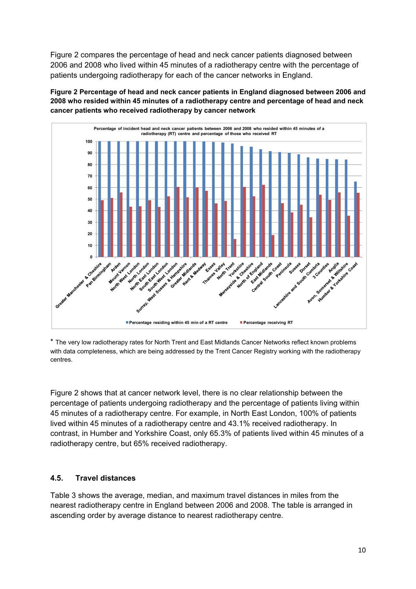Figure 2 compares the percentage of head and neck cancer patients diagnosed between 2006 and 2008 who lived within 45 minutes of a radiotherapy centre with the percentage of patients undergoing radiotherapy for each of the cancer networks in England.

**Figure 2 Percentage of head and neck cancer patients in England diagnosed between 2006 and 2008 who resided within 45 minutes of a radiotherapy centre and percentage of head and neck cancer patients who received radiotherapy by cancer network** 

![](_page_9_Figure_2.jpeg)

\* The very low radiotherapy rates for North Trent and East Midlands Cancer Networks reflect known problems with data completeness, which are being addressed by the Trent Cancer Registry working with the radiotherapy centres.

Figure 2 shows that at cancer network level, there is no clear relationship between the percentage of patients undergoing radiotherapy and the percentage of patients living within 45 minutes of a radiotherapy centre. For example, in North East London, 100% of patients lived within 45 minutes of a radiotherapy centre and 43.1% received radiotherapy. In contrast, in Humber and Yorkshire Coast, only 65.3% of patients lived within 45 minutes of a radiotherapy centre, but 65% received radiotherapy.

### **4.5. Travel distances**

Table 3 shows the average, median, and maximum travel distances in miles from the nearest radiotherapy centre in England between 2006 and 2008. The table is arranged in ascending order by average distance to nearest radiotherapy centre.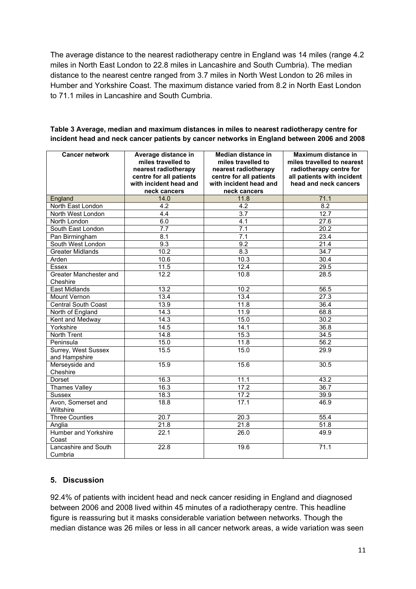The average distance to the nearest radiotherapy centre in England was 14 miles (range 4.2 miles in North East London to 22.8 miles in Lancashire and South Cumbria). The median distance to the nearest centre ranged from 3.7 miles in North West London to 26 miles in Humber and Yorkshire Coast. The maximum distance varied from 8.2 in North East London to 71.1 miles in Lancashire and South Cumbria.

| <b>Cancer network</b>                | Average distance in<br>miles travelled to<br>nearest radiotherapy<br>centre for all patients<br>with incident head and | Median distance in<br>miles travelled to<br>nearest radiotherapy<br>centre for all patients<br>with incident head and | Maximum distance in<br>miles travelled to nearest<br>radiotherapy centre for<br>all patients with incident<br>head and neck cancers |
|--------------------------------------|------------------------------------------------------------------------------------------------------------------------|-----------------------------------------------------------------------------------------------------------------------|-------------------------------------------------------------------------------------------------------------------------------------|
|                                      | neck cancers                                                                                                           | neck cancers                                                                                                          |                                                                                                                                     |
| England                              | 14.0                                                                                                                   | 11.8                                                                                                                  | 71.1                                                                                                                                |
| North East London                    | 4.2                                                                                                                    | 4.2                                                                                                                   | $\overline{8.2}$                                                                                                                    |
| North West London                    | 4.4                                                                                                                    | $\overline{3.7}$                                                                                                      | 12.7                                                                                                                                |
| North London                         | 6.0                                                                                                                    | 4.1                                                                                                                   | 27.6                                                                                                                                |
| South East London                    | 7.7                                                                                                                    | 7.1                                                                                                                   | 20.2                                                                                                                                |
| Pan Birmingham                       | 8.1                                                                                                                    | 7.1                                                                                                                   | 23.4                                                                                                                                |
| South West London                    | 9.3                                                                                                                    | 9.2                                                                                                                   | 21.4                                                                                                                                |
| <b>Greater Midlands</b>              | 10.2                                                                                                                   | 8.3                                                                                                                   | 34.7                                                                                                                                |
| Arden                                | 10.6                                                                                                                   | 10.3                                                                                                                  | 30.4                                                                                                                                |
| <b>Essex</b>                         | 11.5                                                                                                                   | 12.4                                                                                                                  | 29.5                                                                                                                                |
| Greater Manchester and<br>Cheshire   | 12.2                                                                                                                   | 10.8                                                                                                                  | 28.5                                                                                                                                |
| <b>East Midlands</b>                 | 13.2                                                                                                                   | 10.2                                                                                                                  | 56.5                                                                                                                                |
| Mount Vernon                         | 13.4                                                                                                                   | 13.4                                                                                                                  | $\overline{27.3}$                                                                                                                   |
| Central South Coast                  | 13.9                                                                                                                   | 11.8                                                                                                                  | 36.4                                                                                                                                |
| North of England                     | 14.3                                                                                                                   | 11.9                                                                                                                  | 68.8                                                                                                                                |
| Kent and Medway                      | 14.3                                                                                                                   | 15.0                                                                                                                  | 30.2                                                                                                                                |
| Yorkshire                            | 14.5                                                                                                                   | 14.1                                                                                                                  | 36.8                                                                                                                                |
| North Trent                          | 14.8                                                                                                                   | 15.3                                                                                                                  | 34.5                                                                                                                                |
| Peninsula                            | 15.0                                                                                                                   | 11.8                                                                                                                  | 56.2                                                                                                                                |
| Surrey, West Sussex<br>and Hampshire | 15.5                                                                                                                   | 15.0                                                                                                                  | 29.9                                                                                                                                |
| Merseyside and<br>Cheshire           | 15.9                                                                                                                   | 15.6                                                                                                                  | 30.5                                                                                                                                |
| Dorset                               | 16.3                                                                                                                   | 11.1                                                                                                                  | 43.2                                                                                                                                |
| <b>Thames Valley</b>                 | 16.3                                                                                                                   | 17.2                                                                                                                  | 36.7                                                                                                                                |
| <b>Sussex</b>                        | 18.3                                                                                                                   | 17.2                                                                                                                  | 39.9                                                                                                                                |
| Avon, Somerset and<br>Wiltshire      | 18.8                                                                                                                   | 17.1                                                                                                                  | 46.9                                                                                                                                |
| <b>Three Counties</b>                | $\overline{20.7}$                                                                                                      | 20.3                                                                                                                  | 55.4                                                                                                                                |
| Anglia                               | 21.8                                                                                                                   | 21.8                                                                                                                  | 51.8                                                                                                                                |
| <b>Humber and Yorkshire</b><br>Coast | 22.1                                                                                                                   | 26.0                                                                                                                  | 49.9                                                                                                                                |
| Lancashire and South<br>Cumbria      | 22.8                                                                                                                   | 19.6                                                                                                                  | $\overline{71}.1$                                                                                                                   |

#### **Table 3 Average, median and maximum distances in miles to nearest radiotherapy centre for incident head and neck cancer patients by cancer networks in England between 2006 and 2008**

# **5. Discussion**

92.4% of patients with incident head and neck cancer residing in England and diagnosed between 2006 and 2008 lived within 45 minutes of a radiotherapy centre. This headline figure is reassuring but it masks considerable variation between networks. Though the median distance was 26 miles or less in all cancer network areas, a wide variation was seen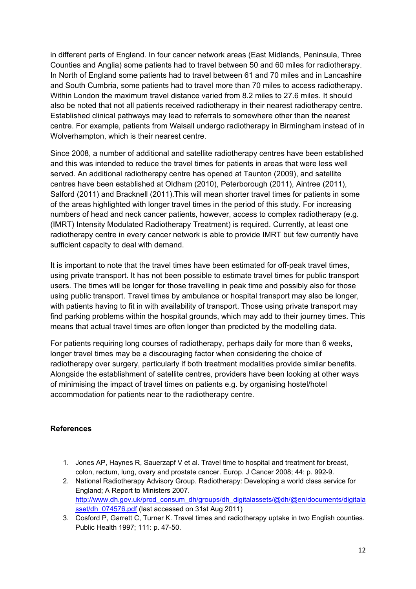in different parts of England. In four cancer network areas (East Midlands, Peninsula, Three Counties and Anglia) some patients had to travel between 50 and 60 miles for radiotherapy. In North of England some patients had to travel between 61 and 70 miles and in Lancashire and South Cumbria, some patients had to travel more than 70 miles to access radiotherapy. Within London the maximum travel distance varied from 8.2 miles to 27.6 miles. It should also be noted that not all patients received radiotherapy in their nearest radiotherapy centre. Established clinical pathways may lead to referrals to somewhere other than the nearest centre. For example, patients from Walsall undergo radiotherapy in Birmingham instead of in Wolverhampton, which is their nearest centre.

Since 2008, a number of additional and satellite radiotherapy centres have been established and this was intended to reduce the travel times for patients in areas that were less well served. An additional radiotherapy centre has opened at Taunton (2009), and satellite centres have been established at Oldham (2010), Peterborough (2011), Aintree (2011), Salford (2011) and Bracknell (2011).This will mean shorter travel times for patients in some of the areas highlighted with longer travel times in the period of this study. For increasing numbers of head and neck cancer patients, however, access to complex radiotherapy (e.g. (IMRT) Intensity Modulated Radiotherapy Treatment) is required. Currently, at least one radiotherapy centre in every cancer network is able to provide IMRT but few currently have sufficient capacity to deal with demand.

It is important to note that the travel times have been estimated for off-peak travel times, using private transport. It has not been possible to estimate travel times for public transport users. The times will be longer for those travelling in peak time and possibly also for those using public transport. Travel times by ambulance or hospital transport may also be longer, with patients having to fit in with availability of transport. Those using private transport may find parking problems within the hospital grounds, which may add to their journey times. This means that actual travel times are often longer than predicted by the modelling data.

For patients requiring long courses of radiotherapy, perhaps daily for more than 6 weeks, longer travel times may be a discouraging factor when considering the choice of radiotherapy over surgery, particularly if both treatment modalities provide similar benefits. Alongside the establishment of satellite centres, providers have been looking at other ways of minimising the impact of travel times on patients e.g. by organising hostel/hotel accommodation for patients near to the radiotherapy centre.

### **References**

- 1. Jones AP, Haynes R, Sauerzapf V et al. Travel time to hospital and treatment for breast, colon, rectum, lung, ovary and prostate cancer. Europ. J Cancer 2008; 44: p. 992-9.
- 2. National Radiotherapy Advisory Group. Radiotherapy: Developing a world class service for England; A Report to Ministers 2007. http://www.dh.gov.uk/prod\_consum\_dh/groups/dh\_digitalassets/@dh/@en/documents/digitala sset/dh\_074576.pdf (last accessed on 31st Aug 2011)
- 3. Cosford P, Garrett C, Turner K. Travel times and radiotherapy uptake in two English counties. Public Health 1997; 111: p. 47-50.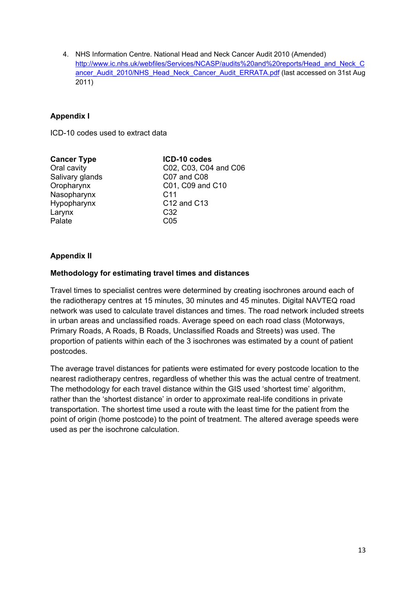4. NHS Information Centre. National Head and Neck Cancer Audit 2010 (Amended) http://www.ic.nhs.uk/webfiles/Services/NCASP/audits%20and%20reports/Head\_and\_Neck\_C ancer\_Audit\_2010/NHS\_Head\_Neck\_Cancer\_Audit\_ERRATA.pdf (last accessed on 31st Aug 2011)

# **Appendix I**

ICD-10 codes used to extract data

| <b>Cancer Type</b> | ICD-10 codes          |
|--------------------|-----------------------|
| Oral cavity        | C02, C03, C04 and C06 |
| Salivary glands    | C07 and C08           |
| Oropharynx         | C01, C09 and C10      |
| Nasopharynx        | C <sub>11</sub>       |
| Hypopharynx        | C12 and C13           |
| Larynx             | C <sub>32</sub>       |
| Palate             | CO <sub>5</sub>       |
|                    |                       |

#### **Appendix II**

#### **Methodology for estimating travel times and distances**

Travel times to specialist centres were determined by creating isochrones around each of the radiotherapy centres at 15 minutes, 30 minutes and 45 minutes. Digital NAVTEQ road network was used to calculate travel distances and times. The road network included streets in urban areas and unclassified roads. Average speed on each road class (Motorways, Primary Roads, A Roads, B Roads, Unclassified Roads and Streets) was used. The proportion of patients within each of the 3 isochrones was estimated by a count of patient postcodes.

The average travel distances for patients were estimated for every postcode location to the nearest radiotherapy centres, regardless of whether this was the actual centre of treatment. The methodology for each travel distance within the GIS used 'shortest time' algorithm, rather than the 'shortest distance' in order to approximate real-life conditions in private transportation. The shortest time used a route with the least time for the patient from the point of origin (home postcode) to the point of treatment. The altered average speeds were used as per the isochrone calculation.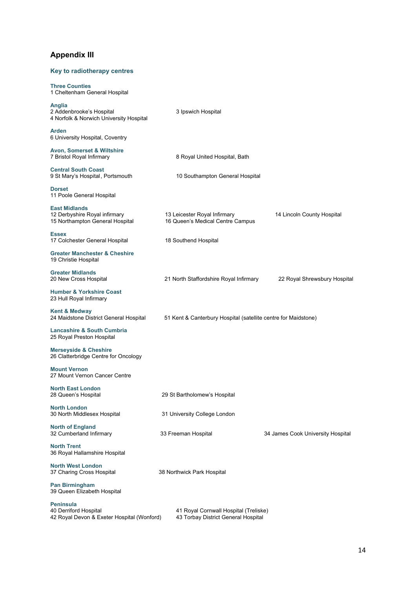# **Appendix III**

# **Key to radiotherapy centres**

| <b>Three Counties</b><br>1 Cheltenham General Hospital                                   |                                                                              |                                   |
|------------------------------------------------------------------------------------------|------------------------------------------------------------------------------|-----------------------------------|
| Anglia<br>2 Addenbrooke's Hospital<br>4 Norfolk & Norwich University Hospital            | 3 Ipswich Hospital                                                           |                                   |
| Arden<br>6 University Hospital, Coventry                                                 |                                                                              |                                   |
| <b>Avon, Somerset &amp; Wiltshire</b><br>7 Bristol Royal Infirmary                       | 8 Royal United Hospital, Bath                                                |                                   |
| <b>Central South Coast</b><br>9 St Mary's Hospital, Portsmouth                           | 10 Southampton General Hospital                                              |                                   |
| <b>Dorset</b><br>11 Poole General Hospital                                               |                                                                              |                                   |
| <b>East Midlands</b><br>12 Derbyshire Royal infirmary<br>15 Northampton General Hospital | 13 Leicester Royal Infirmary<br>16 Queen's Medical Centre Campus             | 14 Lincoln County Hospital        |
| <b>Essex</b><br>17 Colchester General Hospital                                           | 18 Southend Hospital                                                         |                                   |
| <b>Greater Manchester &amp; Cheshire</b><br>19 Christie Hospital                         |                                                                              |                                   |
| <b>Greater Midlands</b><br>20 New Cross Hospital                                         | 21 North Staffordshire Royal Infirmary                                       | 22 Royal Shrewsbury Hospital      |
| <b>Humber &amp; Yorkshire Coast</b><br>23 Hull Royal Infirmary                           |                                                                              |                                   |
| Kent & Medway<br>24 Maidstone District General Hospital                                  | 51 Kent & Canterbury Hospital (satellite centre for Maidstone)               |                                   |
| <b>Lancashire &amp; South Cumbria</b><br>25 Royal Preston Hospital                       |                                                                              |                                   |
| <b>Merseyside &amp; Cheshire</b><br>26 Clatterbridge Centre for Oncology                 |                                                                              |                                   |
| <b>Mount Vernon</b><br>27 Mount Vernon Cancer Centre                                     |                                                                              |                                   |
| <b>North East London</b><br>28 Queen's Hospital                                          | 29 St Bartholomew's Hospital                                                 |                                   |
| <b>North London</b><br>30 North Middlesex Hospital                                       | 31 University College London                                                 |                                   |
| <b>North of England</b><br>32 Cumberland Infirmary                                       | 33 Freeman Hospital                                                          | 34 James Cook University Hospital |
| <b>North Trent</b><br>36 Royal Hallamshire Hospital                                      |                                                                              |                                   |
| <b>North West London</b><br>37 Charing Cross Hospital                                    | 38 Northwick Park Hospital                                                   |                                   |
| <b>Pan Birmingham</b><br>39 Queen Elizabeth Hospital                                     |                                                                              |                                   |
| Peninsula<br>40 Derriford Hospital<br>42 Royal Devon & Exeter Hospital (Wonford)         | 41 Royal Cornwall Hospital (Treliske)<br>43 Torbay District General Hospital |                                   |